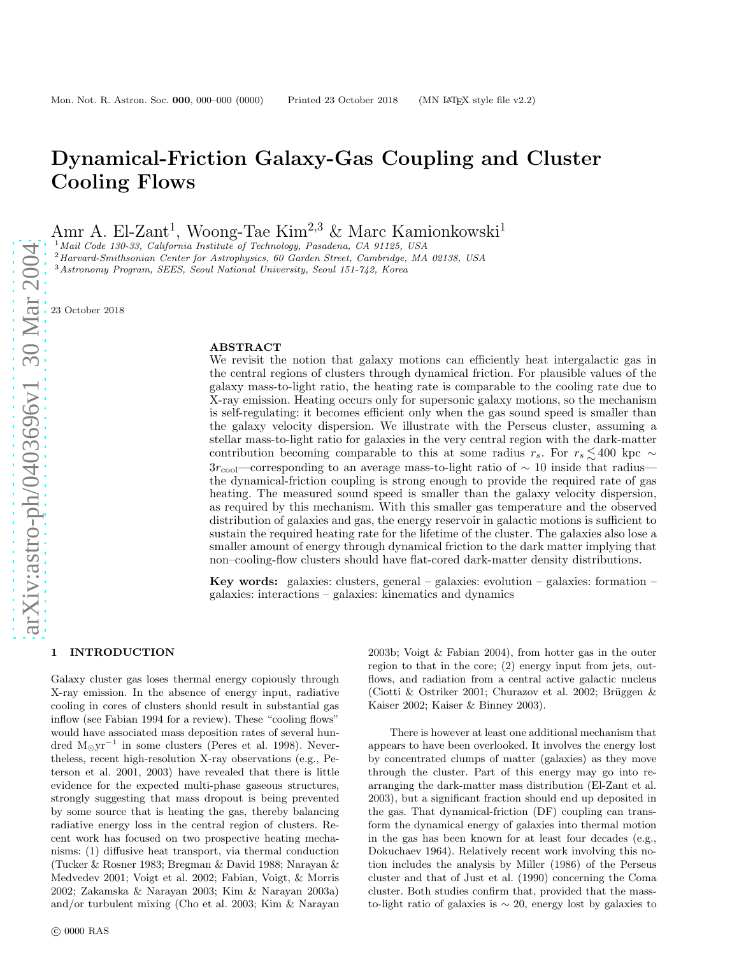# Dynamical-Friction Galaxy-Gas Coupling and Cluster Cooling Flows

Amr A. El-Zant<sup>1</sup>, Woong-Tae Kim<sup>2,3</sup> & Marc Kamionkowski<sup>1</sup>

 $^1$ Mail Code 130-33, California Institute of Technology, Pasadena, CA 91125, USA<br><sup>2</sup> Harvard-Smithsonian Center for Astrophysics, 60 Garden Street, Cambridge, MA 02138, USA<br><sup>3</sup> Astronomy Program, SEES, Seoul National Uni

23 October 2018

## ABSTRACT

We revisit the notion that galaxy motions can efficiently heat intergalactic gas in the central regions of clusters through dynamical friction. For plausible values of the galaxy mass-to-light ratio, the heating rate is comparable to the cooling rate due to X-ray emission. Heating occurs only for supersonic galaxy motions, so the mechanism is self-regulating: it becomes efficient only when the gas sound speed is smaller than the galaxy velocity dispersion. We illustrate with the Perseus cluster, assuming a stellar mass-to-light ratio for galaxies in the very central region with the dark-matter contribution becoming comparable to this at some radius  $r_s$ . For  $r_s \lesssim 400$  kpc  $\sim$  $3r_{\text{cool}}$ —corresponding to an average mass-to-light ratio of  $\sim 10$  inside that radius the dynamical-friction coupling is strong enough to provide the required rate of gas heating. The measured sound speed is smaller than the galaxy velocity dispersion, as required by this mechanism. With this smaller gas temperature and the observed distribution of galaxies and gas, the energy reservoir in galactic motions is sufficient to sustain the required heating rate for the lifetime of the cluster. The galaxies also lose a smaller amount of energy through dynamical friction to the dark matter implying that non–cooling-flow clusters should have flat-cored dark-matter density distributions.

Key words: galaxies: clusters, general – galaxies: evolution – galaxies: formation – galaxies: interactions – galaxies: kinematics and dynamics

#### 1 INTRODUCTION

Galaxy cluster gas loses thermal energy copiously through X-ray emission. In the absence of energy input, radiative cooling in cores of clusters should result in substantial ga s inflow (see Fabian 1994 for a review). These "cooling flows" would have associated mass deposition rates of several hundred M⊙yr<sup>−</sup><sup>1</sup> in some clusters (Peres et al. 1998). Nevertheless, recent high-resolution X-ray observations (e.g., Peterson et al. 2001, 2003) have revealed that there is little evidence for the expected multi-phase gaseous structures, strongly suggesting that mass dropout is being prevented by some source that is heating the gas, thereby balancing radiative energy loss in the central region of clusters. Recent work has focused on two prospective heating mechanisms: (1) diffusive heat transport, via thermal conduction (Tucker & Rosner 1983; Bregman & David 1988; Narayan & Medvedev 2001; Voigt et al. 2002; Fabian, Voigt, & Morris 2002; Zakamska & Narayan 2003; Kim & Narayan 2003a) and/or turbulent mixing (Cho et al. 2003; Kim & Narayan 2003b; Voigt & Fabian 2004), from hotter gas in the outer region to that in the core; (2) energy input from jets, outflows, and radiation from a central active galactic nucleus (Ciotti & Ostriker 2001; Churazov et al. 2002; Brüggen & Kaiser 2002; Kaiser & Binney 2003).

There is however at least one additional mechanism that appears to have been overlooked. It involves the energy lost by concentrated clumps of matter (galaxies) as they move through the cluster. Part of this energy may go into rearranging the dark-matter mass distribution (El-Zant et al. 2003), but a significant fraction should end up deposited in the gas. That dynamical-friction (DF) coupling can transform the dynamical energy of galaxies into thermal motion in the gas has been known for at least four decades (e.g., Dokuchaev 1964). Relatively recent work involving this notion includes the analysis by Miller (1986) of the Perseus cluster and that of Just et al. (1990) concerning the Coma cluster. Both studies confirm that, provided that the massto-light ratio of galaxies is  $\sim$  20, energy lost by galaxies to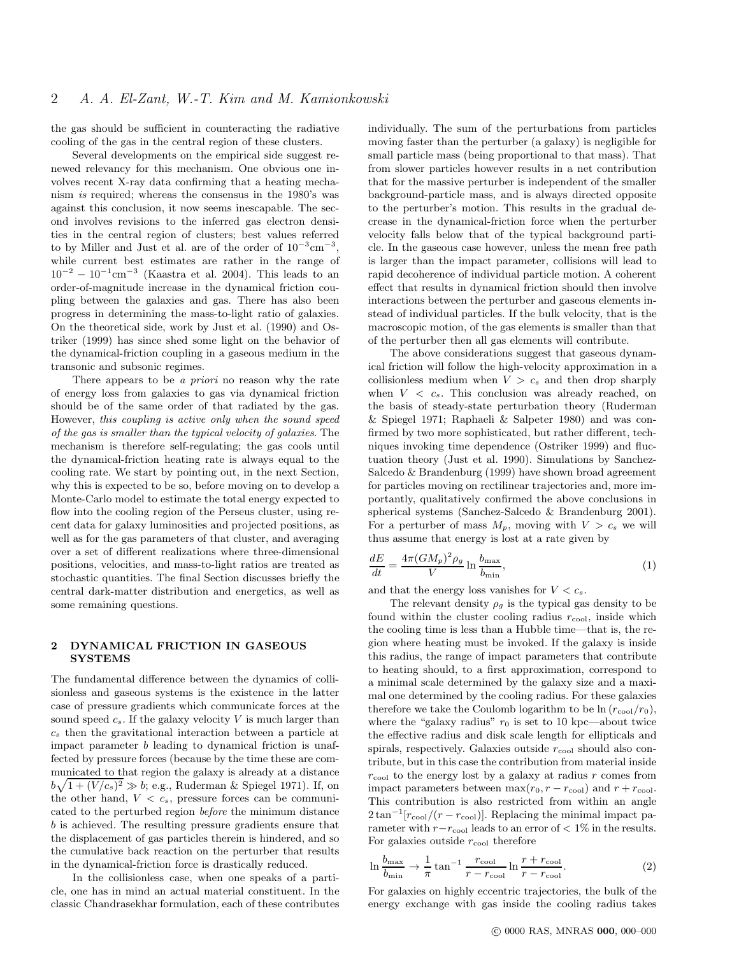the gas should be sufficient in counteracting the radiative cooling of the gas in the central region of these clusters.

Several developments on the empirical side suggest renewed relevancy for this mechanism. One obvious one involves recent X-ray data confirming that a heating mechanism is required; whereas the consensus in the 1980's was against this conclusion, it now seems inescapable. The second involves revisions to the inferred gas electron densities in the central region of clusters; best values referred to by Miller and Just et al. are of the order of  $10^{-3}$ cm<sup>-3</sup>, while current best estimates are rather in the range of  $10^{-2} - 10^{-1}$  cm<sup>-3</sup> (Kaastra et al. 2004). This leads to an order-of-magnitude increase in the dynamical friction coupling between the galaxies and gas. There has also been progress in determining the mass-to-light ratio of galaxies. On the theoretical side, work by Just et al. (1990) and Ostriker (1999) has since shed some light on the behavior of the dynamical-friction coupling in a gaseous medium in the transonic and subsonic regimes.

There appears to be a *priori* no reason why the rate of energy loss from galaxies to gas via dynamical friction should be of the same order of that radiated by the gas. However, this coupling is active only when the sound speed of the gas is smaller than the typical velocity of galaxies. The mechanism is therefore self-regulating; the gas cools until the dynamical-friction heating rate is always equal to the cooling rate. We start by pointing out, in the next Section, why this is expected to be so, before moving on to develop a Monte-Carlo model to estimate the total energy expected to flow into the cooling region of the Perseus cluster, using recent data for galaxy luminosities and projected positions, as well as for the gas parameters of that cluster, and averaging over a set of different realizations where three-dimensional positions, velocities, and mass-to-light ratios are treated as stochastic quantities. The final Section discusses briefly the central dark-matter distribution and energetics, as well as some remaining questions.

### 2 DYNAMICAL FRICTION IN GASEOUS **SYSTEMS**

The fundamental difference between the dynamics of collisionless and gaseous systems is the existence in the latter case of pressure gradients which communicate forces at the sound speed  $c_s$ . If the galaxy velocity V is much larger than  $c<sub>s</sub>$  then the gravitational interaction between a particle at impact parameter b leading to dynamical friction is unaffected by pressure forces (because by the time these are communicated to that region the galaxy is already at a distance  $b\sqrt{1+(V/c_s)^2} \gg b$ ; e.g., Ruderman & Spiegel 1971). If, on the other hand,  $V < c_s$ , pressure forces can be communicated to the perturbed region before the minimum distance b is achieved. The resulting pressure gradients ensure that the displacement of gas particles therein is hindered, and so the cumulative back reaction on the perturber that results in the dynamical-friction force is drastically reduced.

In the collisionless case, when one speaks of a particle, one has in mind an actual material constituent. In the classic Chandrasekhar formulation, each of these contributes individually. The sum of the perturbations from particles moving faster than the perturber (a galaxy) is negligible for small particle mass (being proportional to that mass). That from slower particles however results in a net contribution that for the massive perturber is independent of the smaller background-particle mass, and is always directed opposite to the perturber's motion. This results in the gradual decrease in the dynamical-friction force when the perturber velocity falls below that of the typical background particle. In the gaseous case however, unless the mean free path is larger than the impact parameter, collisions will lead to rapid decoherence of individual particle motion. A coherent effect that results in dynamical friction should then involve interactions between the perturber and gaseous elements instead of individual particles. If the bulk velocity, that is the macroscopic motion, of the gas elements is smaller than that of the perturber then all gas elements will contribute.

The above considerations suggest that gaseous dynamical friction will follow the high-velocity approximation in a collisionless medium when  $V > c_s$  and then drop sharply when  $V \, \langle c_s$ . This conclusion was already reached, on the basis of steady-state perturbation theory (Ruderman & Spiegel 1971; Raphaeli & Salpeter 1980) and was confirmed by two more sophisticated, but rather different, techniques invoking time dependence (Ostriker 1999) and fluctuation theory (Just et al. 1990). Simulations by Sanchez-Salcedo & Brandenburg (1999) have shown broad agreement for particles moving on rectilinear trajectories and, more importantly, qualitatively confirmed the above conclusions in spherical systems (Sanchez-Salcedo & Brandenburg 2001). For a perturber of mass  $M_p$ , moving with  $V > c_s$  we will thus assume that energy is lost at a rate given by

$$
\frac{dE}{dt} = \frac{4\pi (GM_p)^2 \rho_g}{V} \ln \frac{b_{\text{max}}}{b_{\text{min}}},\tag{1}
$$

and that the energy loss vanishes for  $V < c_s$ .

The relevant density  $\rho_g$  is the typical gas density to be found within the cluster cooling radius  $r_{\rm cool}$ , inside which the cooling time is less than a Hubble time—that is, the region where heating must be invoked. If the galaxy is inside this radius, the range of impact parameters that contribute to heating should, to a first approximation, correspond to a minimal scale determined by the galaxy size and a maximal one determined by the cooling radius. For these galaxies therefore we take the Coulomb logarithm to be  $\ln (r_{\rm cool}/r_0)$ , where the "galaxy radius"  $r_0$  is set to 10 kpc—about twice the effective radius and disk scale length for ellipticals and spirals, respectively. Galaxies outside  $r_{\text{cool}}$  should also contribute, but in this case the contribution from material inside  $r_{\text{cool}}$  to the energy lost by a galaxy at radius r comes from impact parameters between  $\max(r_0, r - r_{\text{cool}})$  and  $r + r_{\text{cool}}$ . This contribution is also restricted from within an angle  $2\tan^{-1}[r_{\rm cool}/(r-r_{\rm cool})]$ . Replacing the minimal impact parameter with  $r-r_{\rm cool}$  leads to an error of  $\langle 1\%$  in the results. For galaxies outside  $r_{\text{cool}}$  therefore

<span id="page-1-0"></span>
$$
\ln \frac{b_{\text{max}}}{b_{\text{min}}} \to \frac{1}{\pi} \tan^{-1} \frac{r_{\text{cool}}}{r - r_{\text{cool}}} \ln \frac{r + r_{\text{cool}}}{r - r_{\text{cool}}}.\tag{2}
$$

For galaxies on highly eccentric trajectories, the bulk of the energy exchange with gas inside the cooling radius takes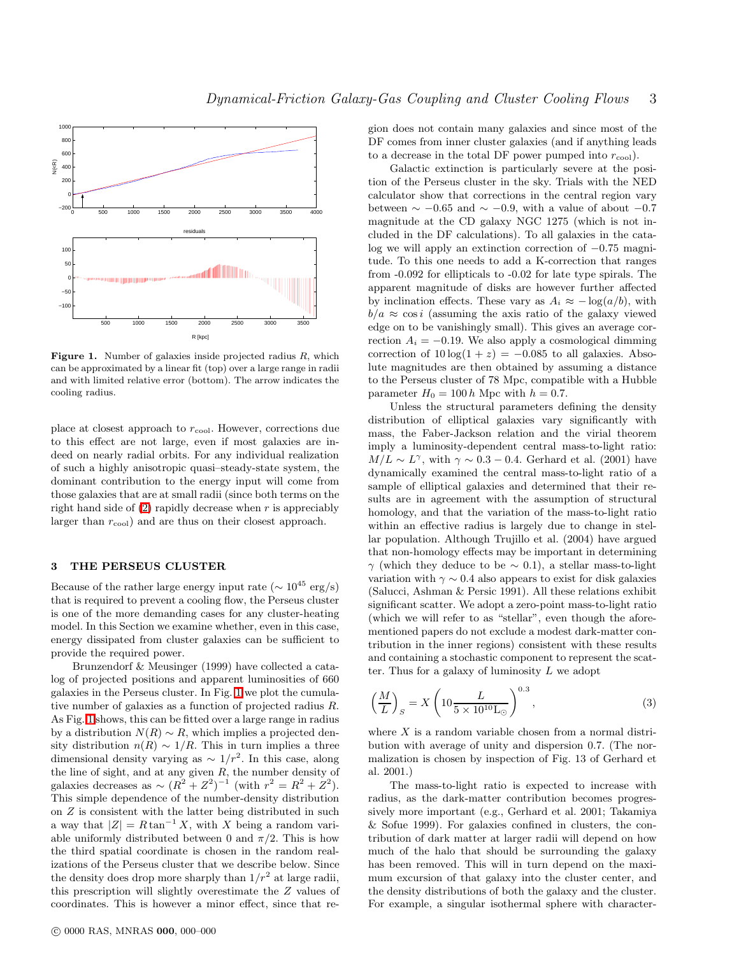

<span id="page-2-0"></span>**Figure 1.** Number of galaxies inside projected radius  $R$ , which can be approximated by a linear fit (top) over a large range in radii and with limited relative error (bottom). The arrow indicates the cooling radius.

place at closest approach to  $r_{\rm cool}$ . However, corrections due to this effect are not large, even if most galaxies are indeed on nearly radial orbits. For any individual realization of such a highly anisotropic quasi–steady-state system, the dominant contribution to the energy input will come from those galaxies that are at small radii (since both terms on the right hand side of  $(2)$  rapidly decrease when r is appreciably larger than  $r_{\rm cool}$  and are thus on their closest approach.

## 3 THE PERSEUS CLUSTER

Because of the rather large energy input rate ( $\sim 10^{45} \text{ erg/s}$ ) that is required to prevent a cooling flow, the Perseus cluster is one of the more demanding cases for any cluster-heating model. In this Section we examine whether, even in this case, energy dissipated from cluster galaxies can be sufficient to provide the required power.

Brunzendorf & Meusinger (1999) have collected a catalog of projected positions and apparent luminosities of 660 galaxies in the Perseus cluster. In Fig. [1](#page-2-0) we plot the cumulative number of galaxies as a function of projected radius R. As Fig. [1](#page-2-0) shows, this can be fitted over a large range in radius by a distribution  $N(R) \sim R$ , which implies a projected density distribution  $n(R) \sim 1/R$ . This in turn implies a three dimensional density varying as  $\sim 1/r^2$ . In this case, along the line of sight, and at any given  $R$ , the number density of galaxies decreases as  $\sim (R^2 + Z^2)^{-1}$  (with  $r^2 = R^2 + Z^2$ ). This simple dependence of the number-density distribution on Z is consistent with the latter being distributed in such a way that  $|Z| = R \tan^{-1} X$ , with X being a random variable uniformly distributed between 0 and  $\pi/2$ . This is how the third spatial coordinate is chosen in the random realizations of the Perseus cluster that we describe below. Since the density does drop more sharply than  $1/r^2$  at large radii, this prescription will slightly overestimate the Z values of coordinates. This is however a minor effect, since that region does not contain many galaxies and since most of the DF comes from inner cluster galaxies (and if anything leads to a decrease in the total DF power pumped into  $r_{\rm cool}$ ).

Galactic extinction is particularly severe at the position of the Perseus cluster in the sky. Trials with the NED calculator show that corrections in the central region vary between  $\sim -0.65$  and  $\sim -0.9$ , with a value of about  $-0.7$ magnitude at the CD galaxy NGC 1275 (which is not included in the DF calculations). To all galaxies in the catalog we will apply an extinction correction of −0.75 magnitude. To this one needs to add a K-correction that ranges from -0.092 for ellipticals to -0.02 for late type spirals. The apparent magnitude of disks are however further affected by inclination effects. These vary as  $A_i \approx -\log(a/b)$ , with  $b/a \approx \cos i$  (assuming the axis ratio of the galaxy viewed edge on to be vanishingly small). This gives an average correction  $A_i = -0.19$ . We also apply a cosmological dimming correction of  $10 \log(1 + z) = -0.085$  to all galaxies. Absolute magnitudes are then obtained by assuming a distance to the Perseus cluster of 78 Mpc, compatible with a Hubble parameter  $H_0 = 100 h$  Mpc with  $h = 0.7$ .

Unless the structural parameters defining the density distribution of elliptical galaxies vary significantly with mass, the Faber-Jackson relation and the virial theorem imply a luminosity-dependent central mass-to-light ratio:  $M/L \sim L^{\gamma}$ , with  $\gamma \sim 0.3 - 0.4$ . Gerhard et al. (2001) have dynamically examined the central mass-to-light ratio of a sample of elliptical galaxies and determined that their results are in agreement with the assumption of structural homology, and that the variation of the mass-to-light ratio within an effective radius is largely due to change in stellar population. Although Trujillo et al. (2004) have argued that non-homology effects may be important in determining  $\gamma$  (which they deduce to be  $\sim$  0.1), a stellar mass-to-light variation with  $\gamma \sim 0.4$  also appears to exist for disk galaxies (Salucci, Ashman & Persic 1991). All these relations exhibit significant scatter. We adopt a zero-point mass-to-light ratio (which we will refer to as "stellar", even though the aforementioned papers do not exclude a modest dark-matter contribution in the inner regions) consistent with these results and containing a stochastic component to represent the scatter. Thus for a galaxy of luminosity  $L$  we adopt

<span id="page-2-1"></span>
$$
\left(\frac{M}{L}\right)_S = X \left(10 \frac{L}{5 \times 10^{10} \text{L}_{\odot}}\right)^{0.3},\tag{3}
$$

where  $X$  is a random variable chosen from a normal distribution with average of unity and dispersion 0.7. (The normalization is chosen by inspection of Fig. 13 of Gerhard et al. 2001.)

The mass-to-light ratio is expected to increase with radius, as the dark-matter contribution becomes progressively more important (e.g., Gerhard et al. 2001; Takamiya & Sofue 1999). For galaxies confined in clusters, the contribution of dark matter at larger radii will depend on how much of the halo that should be surrounding the galaxy has been removed. This will in turn depend on the maximum excursion of that galaxy into the cluster center, and the density distributions of both the galaxy and the cluster. For example, a singular isothermal sphere with character-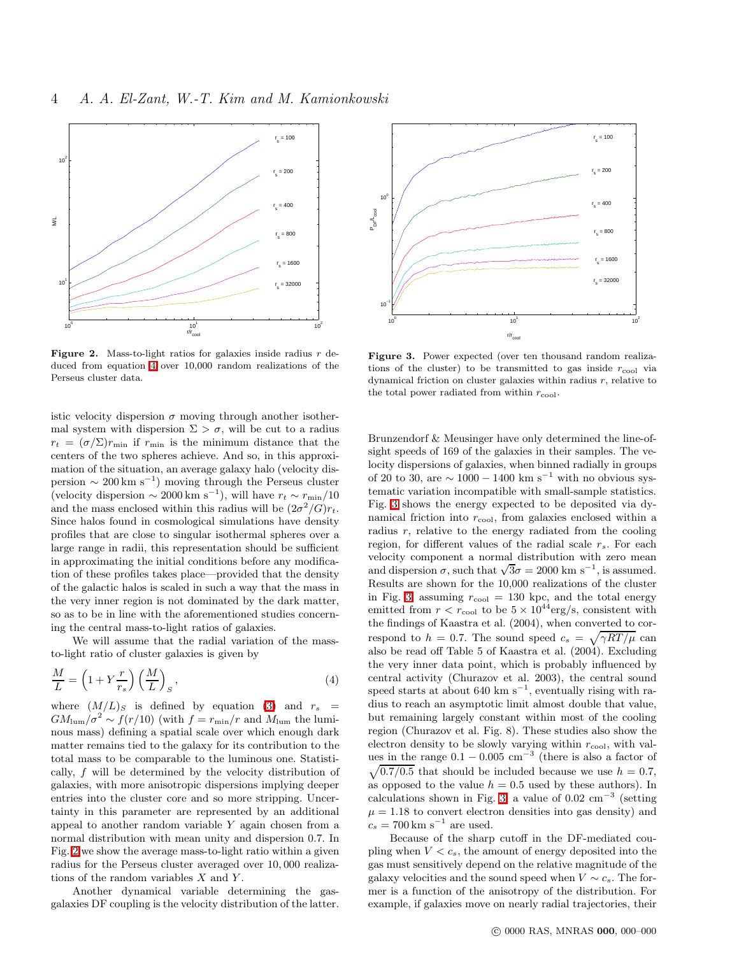

<span id="page-3-1"></span>Figure 2. Mass-to-light ratios for galaxies inside radius  $r$  deduced from equation [4](#page-3-0) over 10,000 random realizations of the Perseus cluster data.

istic velocity dispersion  $\sigma$  moving through another isothermal system with dispersion  $\Sigma > \sigma$ , will be cut to a radius  $r_t = (\sigma/\Sigma)r_{\min}$  if  $r_{\min}$  is the minimum distance that the centers of the two spheres achieve. And so, in this approximation of the situation, an average galaxy halo (velocity dispersion  $\sim 200 \text{ km s}^{-1}$ ) moving through the Perseus cluster (velocity dispersion  $\sim 2000 \text{ km s}^{-1}$ ), will have  $r_t \sim r_{\text{min}}/10$ and the mass enclosed within this radius will be  $(2\sigma^2/G)r_t$ . Since halos found in cosmological simulations have density profiles that are close to singular isothermal spheres over a large range in radii, this representation should be sufficient in approximating the initial conditions before any modification of these profiles takes place—provided that the density of the galactic halos is scaled in such a way that the mass in the very inner region is not dominated by the dark matter, so as to be in line with the aforementioned studies concerning the central mass-to-light ratios of galaxies.

We will assume that the radial variation of the massto-light ratio of cluster galaxies is given by

<span id="page-3-0"></span>
$$
\frac{M}{L} = \left(1 + Y\frac{r}{r_s}\right) \left(\frac{M}{L}\right)_S, \tag{4}
$$

where  $(M/L)_S$  is defined by equation [\(3\)](#page-2-1) and  $r_s$  =  $GM_{\text{lum}}/\sigma^2 \sim f(r/10)$  (with  $f = r_{\text{min}}/r$  and  $M_{\text{lum}}$  the luminous mass) defining a spatial scale over which enough dark matter remains tied to the galaxy for its contribution to the total mass to be comparable to the luminous one. Statistically, f will be determined by the velocity distribution of galaxies, with more anisotropic dispersions implying deeper entries into the cluster core and so more stripping. Uncertainty in this parameter are represented by an additional appeal to another random variable Y again chosen from a normal distribution with mean unity and dispersion 0.7. In Fig. [2](#page-3-1) we show the average mass-to-light ratio within a given radius for the Perseus cluster averaged over 10, 000 realizations of the random variables  $X$  and  $Y$ .

Another dynamical variable determining the gasgalaxies DF coupling is the velocity distribution of the latter.



<span id="page-3-2"></span>Figure 3. Power expected (over ten thousand random realizations of the cluster) to be transmitted to gas inside  $r_{\text{cool}}$  via dynamical friction on cluster galaxies within radius  $r$ , relative to the total power radiated from within  $r_{\text{cool}}$ .

Brunzendorf & Meusinger have only determined the line-ofsight speeds of 169 of the galaxies in their samples. The velocity dispersions of galaxies, when binned radially in groups of 20 to 30, are  $\sim 1000 - 1400$  km s<sup>-1</sup> with no obvious systematic variation incompatible with small-sample statistics. Fig. [3](#page-3-2) shows the energy expected to be deposited via dynamical friction into  $r_{\rm cool}$ , from galaxies enclosed within a radius  $r$ , relative to the energy radiated from the cooling region, for different values of the radial scale  $r_s$ . For each velocity component a normal distribution with zero mean and dispersion  $\sigma$ , such that  $\sqrt{3}\sigma = 2000 \text{ km s}^{-1}$ , is assumed. Results are shown for the 10,000 realizations of the cluster in Fig. [3,](#page-3-2) assuming  $r_{\text{cool}} = 130$  kpc, and the total energy emitted from  $r < r_{\text{cool}}$  to be  $5 \times 10^{44} \text{erg/s}$ , consistent with the findings of Kaastra et al. (2004), when converted to correspond to  $h = 0.7$ . The sound speed  $c_s = \sqrt{\gamma RT/\mu}$  can also be read off Table 5 of Kaastra et al. (2004). Excluding the very inner data point, which is probably influenced by central activity (Churazov et al. 2003), the central sound speed starts at about 640 km  $s^{-1}$ , eventually rising with radius to reach an asymptotic limit almost double that value, but remaining largely constant within most of the cooling region (Churazov et al. Fig. 8). These studies also show the electron density to be slowly varying within  $r_{\rm cool}$ , with values in the range  $0.1 - 0.005$  cm<sup>-3</sup> (there is also a factor of  $\sqrt{0.7/0.5}$  that should be included because we use  $h = 0.7$ , as opposed to the value  $h = 0.5$  used by these authors). In calculations shown in Fig. [3,](#page-3-2) a value of  $0.02 \text{ cm}^{-3}$  (setting  $\mu = 1.18$  to convert electron densities into gas density) and  $c_s = 700 \,\mathrm{km \ s^{-1}}$  are used.

Because of the sharp cutoff in the DF-mediated coupling when  $V < c_s$ , the amount of energy deposited into the gas must sensitively depend on the relative magnitude of the galaxy velocities and the sound speed when  $V \sim c_s$ . The former is a function of the anisotropy of the distribution. For example, if galaxies move on nearly radial trajectories, their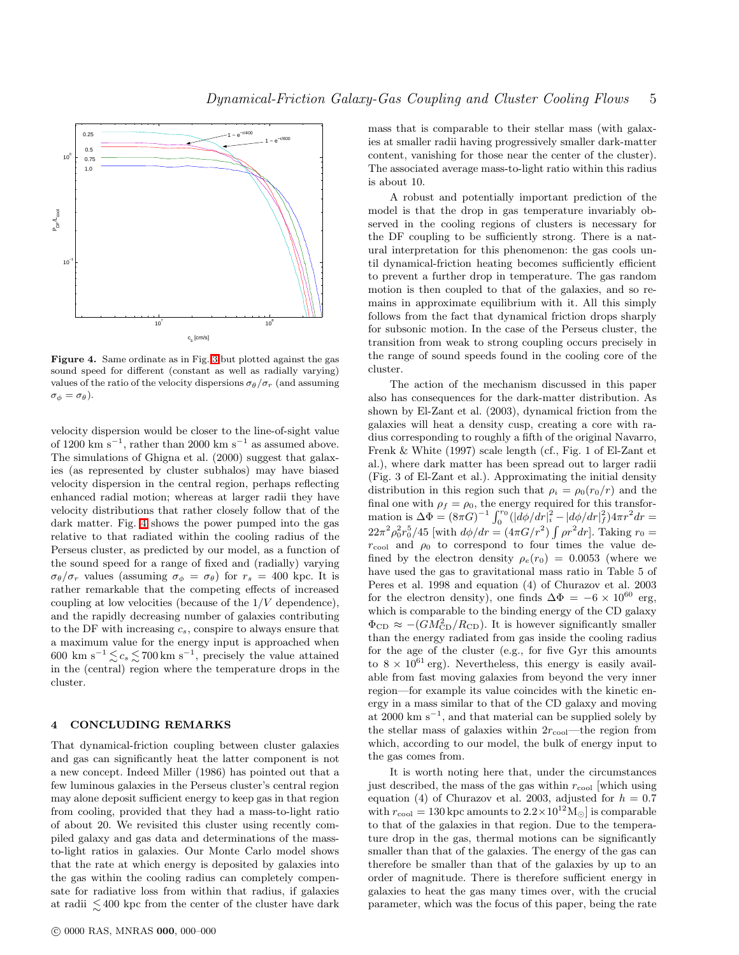

<span id="page-4-0"></span>Figure 4. Same ordinate as in Fig. [3](#page-3-2) but plotted against the gas sound speed for different (constant as well as radially varying) values of the ratio of the velocity dispersions  $\sigma_{\theta}/\sigma_{r}$  (and assuming  $\sigma_{\phi} = \sigma_{\theta}$ ).

velocity dispersion would be closer to the line-of-sight value of 1200 km s<sup>-1</sup>, rather than 2000 km s<sup>-1</sup> as assumed above. The simulations of Ghigna et al. (2000) suggest that galaxies (as represented by cluster subhalos) may have biased velocity dispersion in the central region, perhaps reflecting enhanced radial motion; whereas at larger radii they have velocity distributions that rather closely follow that of the dark matter. Fig. [4](#page-4-0) shows the power pumped into the gas relative to that radiated within the cooling radius of the Perseus cluster, as predicted by our model, as a function of the sound speed for a range of fixed and (radially) varying  $\sigma_{\theta}/\sigma_r$  values (assuming  $\sigma_{\phi} = \sigma_{\theta}$ ) for  $r_s = 400$  kpc. It is rather remarkable that the competing effects of increased coupling at low velocities (because of the  $1/V$  dependence), and the rapidly decreasing number of galaxies contributing to the DF with increasing  $c_s$ , conspire to always ensure that a maximum value for the energy input is approached when 600 km s<sup>-1</sup> $\lesssim c_s \lesssim 700$  km s<sup>-1</sup>, precisely the value attained ∼ ∼ in the (central) region where the temperature drops in the cluster.

### 4 CONCLUDING REMARKS

That dynamical-friction coupling between cluster galaxies and gas can significantly heat the latter component is not a new concept. Indeed Miller (1986) has pointed out that a few luminous galaxies in the Perseus cluster's central region may alone deposit sufficient energy to keep gas in that region from cooling, provided that they had a mass-to-light ratio of about 20. We revisited this cluster using recently compiled galaxy and gas data and determinations of the massto-light ratios in galaxies. Our Monte Carlo model shows that the rate at which energy is deposited by galaxies into the gas within the cooling radius can completely compensate for radiative loss from within that radius, if galaxies at radii  $\lesssim 400$  kpc from the center of the cluster have dark

mass that is comparable to their stellar mass (with galaxies at smaller radii having progressively smaller dark-matter content, vanishing for those near the center of the cluster). The associated average mass-to-light ratio within this radius is about 10.

A robust and potentially important prediction of the model is that the drop in gas temperature invariably observed in the cooling regions of clusters is necessary for the DF coupling to be sufficiently strong. There is a natural interpretation for this phenomenon: the gas cools until dynamical-friction heating becomes sufficiently efficient to prevent a further drop in temperature. The gas random motion is then coupled to that of the galaxies, and so remains in approximate equilibrium with it. All this simply follows from the fact that dynamical friction drops sharply for subsonic motion. In the case of the Perseus cluster, the transition from weak to strong coupling occurs precisely in the range of sound speeds found in the cooling core of the cluster.

The action of the mechanism discussed in this paper also has consequences for the dark-matter distribution. As shown by El-Zant et al. (2003), dynamical friction from the galaxies will heat a density cusp, creating a core with radius corresponding to roughly a fifth of the original Navarro, Frenk & White (1997) scale length (cf., Fig. 1 of El-Zant et al.), where dark matter has been spread out to larger radii (Fig. 3 of El-Zant et al.). Approximating the initial density distribution in this region such that  $\rho_i = \rho_0(r_0/r)$  and the final one with  $\rho_f = \rho_0$ , the energy required for this transformation is  $\Delta \Phi = (8\pi G)^{-1} \int_0^{r_0} (|\tilde{d}\phi/dr|_i^2 - |\tilde{d}\phi/dr|_f^2) 4\pi r^2 dr =$  $22\pi^2 \rho_0^2 r_0^5/45$  [with  $d\phi/dr = (4\pi G/r^2) \int \rho r^2 dr$ ]. Taking  $r_0 =$  $r_{\rm cool}$  and  $\rho_0$  to correspond to four times the value defined by the electron density  $\rho_e(r_0) = 0.0053$  (where we have used the gas to gravitational mass ratio in Table 5 of Peres et al. 1998 and equation (4) of Churazov et al. 2003 for the electron density), one finds  $\Delta \Phi = -6 \times 10^{60}$  erg, which is comparable to the binding energy of the CD galaxy  $\Phi_{\text{CD}} \approx -(G M_{\text{CD}}^2/R_{\text{CD}})$ . It is however significantly smaller than the energy radiated from gas inside the cooling radius for the age of the cluster (e.g., for five Gyr this amounts to  $8 \times 10^{61}$  erg). Nevertheless, this energy is easily available from fast moving galaxies from beyond the very inner region—for example its value coincides with the kinetic energy in a mass similar to that of the CD galaxy and moving at 2000 km s<sup>−</sup><sup>1</sup> , and that material can be supplied solely by the stellar mass of galaxies within  $2r_{\text{cool}}$ —the region from which, according to our model, the bulk of energy input to the gas comes from.

It is worth noting here that, under the circumstances just described, the mass of the gas within  $r_{\rm cool}$  which using equation (4) of Churazov et al. 2003, adjusted for  $h = 0.7$ with  $r_{\text{cool}} = 130$  kpc amounts to  $2.2 \times 10^{12}$  M<sub>o</sub> is comparable to that of the galaxies in that region. Due to the temperature drop in the gas, thermal motions can be significantly smaller than that of the galaxies. The energy of the gas can therefore be smaller than that of the galaxies by up to an order of magnitude. There is therefore sufficient energy in galaxies to heat the gas many times over, with the crucial parameter, which was the focus of this paper, being the rate